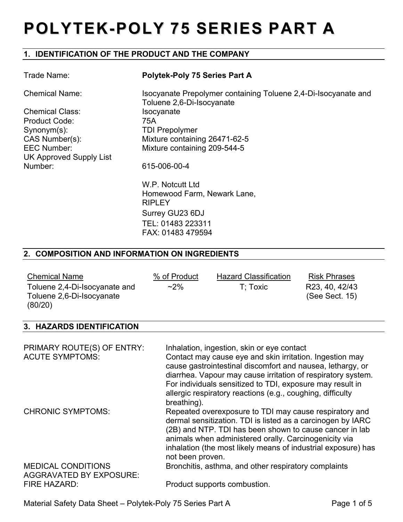# **POLYTEK-POLY 75 SERIES PART A**

# **1. IDENTIFICATION OF THE PRODUCT AND THE COMPANY**

| Trade Name:             | <b>Polytek-Poly 75 Series Part A</b>                                                        |
|-------------------------|---------------------------------------------------------------------------------------------|
| <b>Chemical Name:</b>   | Isocyanate Prepolymer containing Toluene 2,4-Di-Isocyanate and<br>Toluene 2,6-Di-Isocyanate |
| <b>Chemical Class:</b>  | Isocyanate                                                                                  |
| Product Code:           | 75A                                                                                         |
| $Symonym(s)$ :          | <b>TDI Prepolymer</b>                                                                       |
| CAS Number(s):          | Mixture containing 26471-62-5                                                               |
| <b>EEC Number:</b>      | Mixture containing 209-544-5                                                                |
| UK Approved Supply List |                                                                                             |
| Number:                 | 615-006-00-4                                                                                |
|                         | W.P. Notcutt Ltd                                                                            |
|                         | Homewood Farm, Newark Lane,                                                                 |
|                         | <b>RIPLEY</b>                                                                               |
|                         | Surrey GU23 6DJ                                                                             |
|                         | TEL: 01483 223311                                                                           |
|                         | FAX: 01483 479594                                                                           |

#### **2. COMPOSITION AND INFORMATION ON INGREDIENTS**

| <b>Chemical Name</b><br>Toluene 2,4-Di-Isocyanate and<br>Toluene 2,6-Di-Isocyanate<br>(80/20) | % of Product<br>$~2\%$ | <b>Hazard Classification</b><br>T: Toxic | <b>Risk Phrases</b><br>R23, 40, 42/43<br>(See Sect. 15) |
|-----------------------------------------------------------------------------------------------|------------------------|------------------------------------------|---------------------------------------------------------|
|                                                                                               |                        |                                          |                                                         |

# **3. HAZARDS IDENTIFICATION**

| PRIMARY ROUTE(S) OF ENTRY:<br><b>ACUTE SYMPTOMS:</b>                               | Inhalation, ingestion, skin or eye contact<br>Contact may cause eye and skin irritation. Ingestion may<br>cause gastrointestinal discomfort and nausea, lethargy, or<br>diarrhea. Vapour may cause irritation of respiratory system.<br>For individuals sensitized to TDI, exposure may result in<br>allergic respiratory reactions (e.g., coughing, difficulty<br>breathing). |
|------------------------------------------------------------------------------------|--------------------------------------------------------------------------------------------------------------------------------------------------------------------------------------------------------------------------------------------------------------------------------------------------------------------------------------------------------------------------------|
| <b>CHRONIC SYMPTOMS:</b>                                                           | Repeated overexposure to TDI may cause respiratory and<br>dermal sensitization. TDI is listed as a carcinogen by IARC<br>(2B) and NTP. TDI has been shown to cause cancer in lab<br>animals when administered orally. Carcinogenicity via<br>inhalation (the most likely means of industrial exposure) has<br>not been proven.                                                 |
| <b>MEDICAL CONDITIONS</b><br><b>AGGRAVATED BY EXPOSURE:</b><br><b>FIRE HAZARD:</b> | Bronchitis, asthma, and other respiratory complaints<br>Product supports combustion.                                                                                                                                                                                                                                                                                           |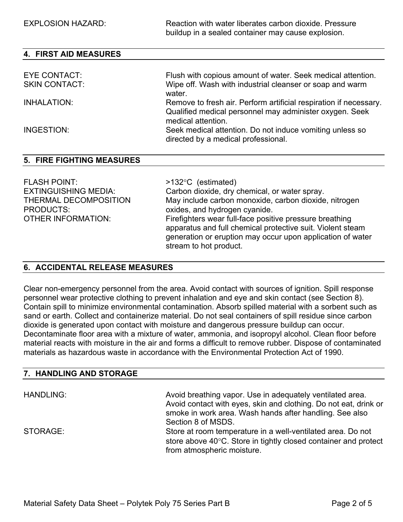EXPLOSION HAZARD: Reaction with water liberates carbon dioxide. Pressure buildup in a sealed container may cause explosion.

| <b>4. FIRST AID MEASURES</b> |                                                                                                                                                    |
|------------------------------|----------------------------------------------------------------------------------------------------------------------------------------------------|
|                              |                                                                                                                                                    |
| <b>EYE CONTACT:</b>          | Flush with copious amount of water. Seek medical attention.                                                                                        |
| <b>SKIN CONTACT:</b>         | Wipe off. Wash with industrial cleanser or soap and warm<br>water.                                                                                 |
| INHALATION:                  | Remove to fresh air. Perform artificial respiration if necessary.<br>Qualified medical personnel may administer oxygen. Seek<br>medical attention. |
| INGESTION:                   | Seek medical attention. Do not induce vomiting unless so<br>directed by a medical professional.                                                    |

#### **5. FIRE FIGHTING MEASURES**

| <b>FLASH POINT:</b>         | $>132^{\circ}$ C (estimated)                                                                                                                                                        |
|-----------------------------|-------------------------------------------------------------------------------------------------------------------------------------------------------------------------------------|
| <b>EXTINGUISHING MEDIA:</b> | Carbon dioxide, dry chemical, or water spray.                                                                                                                                       |
| THERMAL DECOMPOSITION       | May include carbon monoxide, carbon dioxide, nitrogen                                                                                                                               |
| <b>PRODUCTS:</b>            | oxides, and hydrogen cyanide.                                                                                                                                                       |
| OTHER INFORMATION:          | Firefighters wear full-face positive pressure breathing<br>apparatus and full chemical protective suit. Violent steam<br>generation or eruption may occur upon application of water |
|                             | stream to hot product.                                                                                                                                                              |

#### **6. ACCIDENTAL RELEASE MEASURES**

Clear non-emergency personnel from the area. Avoid contact with sources of ignition. Spill response personnel wear protective clothing to prevent inhalation and eye and skin contact (see Section 8). Contain spill to minimize environmental contamination. Absorb spilled material with a sorbent such as sand or earth. Collect and containerize material. Do not seal containers of spill residue since carbon dioxide is generated upon contact with moisture and dangerous pressure buildup can occur. Decontaminate floor area with a mixture of water, ammonia, and isopropyl alcohol. Clean floor before material reacts with moisture in the air and forms a difficult to remove rubber. Dispose of contaminated materials as hazardous waste in accordance with the Environmental Protection Act of 1990.

#### **7. HANDLING AND STORAGE**

| <b>HANDLING:</b> | Avoid breathing vapor. Use in adequately ventilated area.<br>Avoid contact with eyes, skin and clothing. Do not eat, drink or<br>smoke in work area. Wash hands after handling. See also<br>Section 8 of MSDS. |
|------------------|----------------------------------------------------------------------------------------------------------------------------------------------------------------------------------------------------------------|
| STORAGE:         | Store at room temperature in a well-ventilated area. Do not<br>store above 40°C. Store in tightly closed container and protect<br>from atmospheric moisture.                                                   |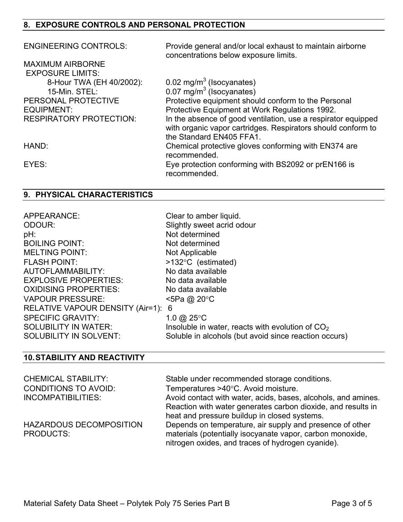# **8. EXPOSURE CONTROLS AND PERSONAL PROTECTION**

| <b>ENGINEERING CONTROLS:</b>   | Provide general and/or local exhaust to maintain airborne<br>concentrations below exposure limits.                            |
|--------------------------------|-------------------------------------------------------------------------------------------------------------------------------|
| <b>MAXIMUM AIRBORNE</b>        |                                                                                                                               |
| <b>EXPOSURE LIMITS:</b>        |                                                                                                                               |
| 8-Hour TWA (EH 40/2002):       | $0.02$ mg/m <sup>3</sup> (Isocyanates)                                                                                        |
| 15-Min. STEL:                  | 0.07 mg/m <sup>3</sup> (Isocyanates)                                                                                          |
| PERSONAL PROTECTIVE            | Protective equipment should conform to the Personal                                                                           |
| EQUIPMENT:                     | Protective Equipment at Work Regulations 1992.                                                                                |
| <b>RESPIRATORY PROTECTION:</b> | In the absence of good ventilation, use a respirator equipped<br>with organic vapor cartridges. Respirators should conform to |
|                                | the Standard EN405 FFA1.                                                                                                      |
| HAND:                          | Chemical protective gloves conforming with EN374 are<br>recommended.                                                          |
| EYES:                          | Eye protection conforming with BS2092 or prEN166 is<br>recommended.                                                           |

# **9. PHYSICAL CHARACTERISTICS**

| No data available<br>AUTOFLAMMABILITY:<br><b>EXPLOSIVE PROPERTIES:</b><br>No data available<br>OXIDISING PROPERTIES:<br>No data available<br><b>VAPOUR PRESSURE:</b><br><5Pa @ 20°C<br>RELATIVE VAPOUR DENSITY (Air=1):<br>6<br><b>SPECIFIC GRAVITY:</b><br>1.0 @ 25 $\degree$ C |  |
|----------------------------------------------------------------------------------------------------------------------------------------------------------------------------------------------------------------------------------------------------------------------------------|--|
| <b>SOLUBILITY IN WATER:</b><br>Insoluble in water, reacts with evolution of $CO2$                                                                                                                                                                                                |  |
| <b>SOLUBILITY IN SOLVENT:</b><br>Soluble in alcohols (but avoid since reaction occurs)                                                                                                                                                                                           |  |

# **10. STABILITY AND REACTIVITY**

| <b>CHEMICAL STABILITY:</b><br><b>CONDITIONS TO AVOID:</b> | Stable under recommended storage conditions.<br>Temperatures >40°C. Avoid moisture.                                                                                           |
|-----------------------------------------------------------|-------------------------------------------------------------------------------------------------------------------------------------------------------------------------------|
| INCOMPATIBILITIES:                                        | Avoid contact with water, acids, bases, alcohols, and amines.<br>Reaction with water generates carbon dioxide, and results in<br>heat and pressure buildup in closed systems. |
| HAZARDOUS DECOMPOSITION<br><b>PRODUCTS:</b>               | Depends on temperature, air supply and presence of other<br>materials (potentially isocyanate vapor, carbon monoxide,<br>nitrogen oxides, and traces of hydrogen cyanide).    |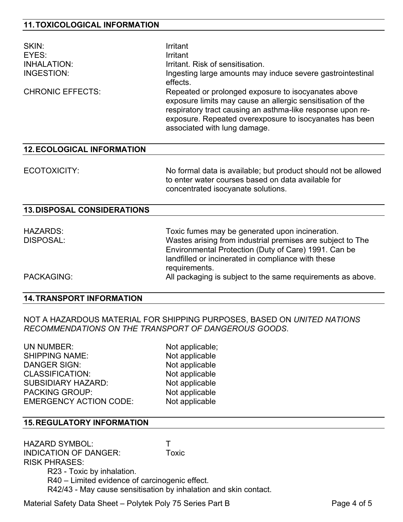| SKIN:<br>EYES:<br><b>INHALATION:</b><br>INGESTION:<br><b>CHRONIC EFFECTS:</b> | Irritant<br>Irritant<br>Irritant. Risk of sensitisation.<br>Ingesting large amounts may induce severe gastrointestinal<br>effects.<br>Repeated or prolonged exposure to isocyanates above<br>exposure limits may cause an allergic sensitisation of the<br>respiratory tract causing an asthma-like response upon re-<br>exposure. Repeated overexposure to isocyanates has been<br>associated with lung damage. |
|-------------------------------------------------------------------------------|------------------------------------------------------------------------------------------------------------------------------------------------------------------------------------------------------------------------------------------------------------------------------------------------------------------------------------------------------------------------------------------------------------------|
| <b>12. ECOLOGICAL INFORMATION</b>                                             |                                                                                                                                                                                                                                                                                                                                                                                                                  |
| ECOTOXICITY:                                                                  | No formal data is available; but product should not be allowed<br>to enter water courses based on data available for<br>concentrated isocyanate solutions.                                                                                                                                                                                                                                                       |
| <b>13. DISPOSAL CONSIDERATIONS</b>                                            |                                                                                                                                                                                                                                                                                                                                                                                                                  |
| <b>HAZARDS:</b>                                                               | Toxic fumes may be generated upon incineration.                                                                                                                                                                                                                                                                                                                                                                  |

| HAZARDS:   | Toxic fumes may be generated upon incineration.             |
|------------|-------------------------------------------------------------|
| DISPOSAL:  | Wastes arising from industrial premises are subject to The  |
|            | Environmental Protection (Duty of Care) 1991. Can be        |
|            | landfilled or incinerated in compliance with these          |
|            | requirements.                                               |
| PACKAGING: | All packaging is subject to the same requirements as above. |
|            |                                                             |

#### **14. TRANSPORT INFORMATION**

NOT A HAZARDOUS MATERIAL FOR SHIPPING PURPOSES, BASED ON *UNITED NATIONS RECOMMENDATIONS ON THE TRANSPORT OF DANGEROUS GOODS*.

UN NUMBER: Not applicable; SHIPPING NAME: Not applicable DANGER SIGN: Not applicable CLASSIFICATION: Not applicable SUBSIDIARY HAZARD: Not applicable PACKING GROUP: Not applicable EMERGENCY ACTION CODE: Not applicable

#### **15. REGULATORY INFORMATION**

HAZARD SYMBOL: T INDICATION OF DANGER: Toxic RISK PHRASES: R23 - Toxic by inhalation. R40 – Limited evidence of carcinogenic effect. R42/43 - May cause sensitisation by inhalation and skin contact.

Material Safety Data Sheet – Polytek Poly 75 Series Part B Page 4 of 5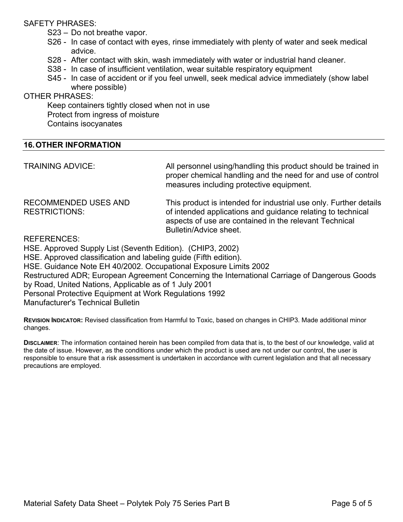#### SAFETY PHRASES:

- S23 Do not breathe vapor.
- S26 In case of contact with eyes, rinse immediately with plenty of water and seek medical advice.
- S28 After contact with skin, wash immediately with water or industrial hand cleaner.
- S38 In case of insufficient ventilation, wear suitable respiratory equipment
- S45 In case of accident or if you feel unwell, seek medical advice immediately (show label where possible)

#### OTHER PHRASES:

Keep containers tightly closed when not in use Protect from ingress of moisture Contains isocyanates

#### **16. OTHER INFORMATION**

| <b>TRAINING ADVICE:</b>                                          | All personnel using/handling this product should be trained in<br>proper chemical handling and the need for and use of control<br>measures including protective equipment.                                           |
|------------------------------------------------------------------|----------------------------------------------------------------------------------------------------------------------------------------------------------------------------------------------------------------------|
| <b>RECOMMENDED USES AND</b><br><b>RESTRICTIONS:</b>              | This product is intended for industrial use only. Further details<br>of intended applications and guidance relating to technical<br>aspects of use are contained in the relevant Technical<br>Bulletin/Advice sheet. |
| <b>REFERENCES:</b>                                               |                                                                                                                                                                                                                      |
| HSE. Approved Supply List (Seventh Edition). (CHIP3, 2002)       |                                                                                                                                                                                                                      |
| HSE. Approved classification and labeling guide (Fifth edition). |                                                                                                                                                                                                                      |
| HSE. Guidance Note EH 40/2002. Occupational Exposure Limits 2002 |                                                                                                                                                                                                                      |
|                                                                  | Restructured ADR; European Agreement Concerning the International Carriage of Dangerous Goods                                                                                                                        |
| by Road, United Nations, Applicable as of 1 July 2001            |                                                                                                                                                                                                                      |

Personal Protective Equipment at Work Regulations 1992

Manufacturer's Technical Bulletin

**REVISION INDICATOR:** Revised classification from Harmful to Toxic, based on changes in CHIP3. Made additional minor changes.

**DISCLAIMER:** The information contained herein has been compiled from data that is, to the best of our knowledge, valid at the date of issue. However, as the conditions under which the product is used are not under our control, the user is responsible to ensure that a risk assessment is undertaken in accordance with current legislation and that all necessary precautions are employed.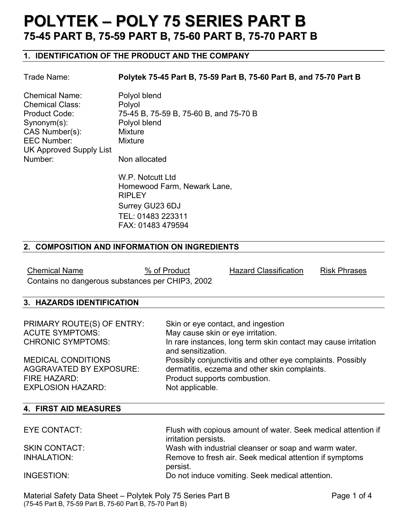# **POLYTEK – POLY 75 SERIES PART B 75-45 PART B, 75-59 PART B, 75-60 PART B, 75-70 PART B**

# **1. IDENTIFICATION OF THE PRODUCT AND THE COMPANY**

#### Trade Name: **Polytek 75-45 Part B, 75-59 Part B, 75-60 Part B, and 75-70 Part B**

| <b>Chemical Name:</b>          | Polyol blend                           |
|--------------------------------|----------------------------------------|
| <b>Chemical Class:</b>         | Polyol                                 |
| <b>Product Code:</b>           | 75-45 B, 75-59 B, 75-60 B, and 75-70 B |
| $Symonym(s)$ :                 | Polyol blend                           |
| CAS Number(s):                 | <b>Mixture</b>                         |
| <b>EEC Number:</b>             | <b>Mixture</b>                         |
| <b>UK Approved Supply List</b> |                                        |
| Number:                        | Non allocated                          |

 W.P. Notcutt Ltd Homewood Farm, Newark Lane, RIPLEY Surrey GU23 6DJ TEL: 01483 223311 FAX: 01483 479594

#### **2. COMPOSITION AND INFORMATION ON INGREDIENTS**

Chemical Name **6 Mg/% of Product** Hazard Classification Risk Phrases Contains no dangerous substances per CHIP3, 2002

# **3. HAZARDS IDENTIFICATION**

| PRIMARY ROUTE(S) OF ENTRY:<br><b>ACUTE SYMPTOMS:</b><br><b>CHRONIC SYMPTOMS:</b> | Skin or eye contact, and ingestion<br>May cause skin or eye irritation.<br>In rare instances, long term skin contact may cause irritation<br>and sensitization. |
|----------------------------------------------------------------------------------|-----------------------------------------------------------------------------------------------------------------------------------------------------------------|
| <b>MEDICAL CONDITIONS</b>                                                        | Possibly conjunctivitis and other eye complaints. Possibly                                                                                                      |
| <b>AGGRAVATED BY EXPOSURE:</b>                                                   | dermatitis, eczema and other skin complaints.                                                                                                                   |
| FIRE HAZARD:                                                                     | Product supports combustion.                                                                                                                                    |
| <b>EXPLOSION HAZARD:</b>                                                         | Not applicable.                                                                                                                                                 |

#### **4. FIRST AID MEASURES**

| EYE CONTACT:         | Flush with copious amount of water. Seek medical attention if<br>irritation persists. |
|----------------------|---------------------------------------------------------------------------------------|
| <b>SKIN CONTACT:</b> | Wash with industrial cleanser or soap and warm water.                                 |
| INHALATION:          | Remove to fresh air. Seek medical attention if symptoms<br>persist.                   |
| INGESTION:           | Do not induce vomiting. Seek medical attention.                                       |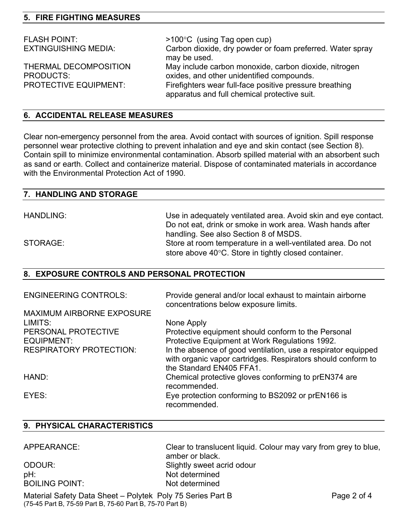# **5. FIRE FIGHTING MEASURES**

| <b>FLASH POINT:</b><br><b>EXTINGUISHING MEDIA:</b>                        | $>100^{\circ}$ C (using Tag open cup)<br>Carbon dioxide, dry powder or foam preferred. Water spray<br>may be used.                                                                                            |
|---------------------------------------------------------------------------|---------------------------------------------------------------------------------------------------------------------------------------------------------------------------------------------------------------|
| THERMAL DECOMPOSITION<br><b>PRODUCTS:</b><br><b>PROTECTIVE EQUIPMENT:</b> | May include carbon monoxide, carbon dioxide, nitrogen<br>oxides, and other unidentified compounds.<br>Firefighters wear full-face positive pressure breathing<br>apparatus and full chemical protective suit. |

#### **6. ACCIDENTAL RELEASE MEASURES**

Clear non-emergency personnel from the area. Avoid contact with sources of ignition. Spill response personnel wear protective clothing to prevent inhalation and eye and skin contact (see Section 8). Contain spill to minimize environmental contamination. Absorb spilled material with an absorbent such as sand or earth. Collect and containerize material. Dispose of contaminated materials in accordance with the Environmental Protection Act of 1990.

| 7. HANDLING AND STORAGE |                                                                |
|-------------------------|----------------------------------------------------------------|
|                         |                                                                |
| <b>HANDLING:</b>        | Use in adequately ventilated area. Avoid skin and eye contact. |
|                         | Do not eat, drink or smoke in work area. Wash hands after      |
|                         | handling. See also Section 8 of MSDS.                          |
| STORAGE:                | Store at room temperature in a well-ventilated area. Do not    |

store above 40°C. Store in tightly closed container.

# **8. EXPOSURE CONTROLS AND PERSONAL PROTECTION**

| <b>ENGINEERING CONTROLS:</b>     | Provide general and/or local exhaust to maintain airborne<br>concentrations below exposure limits.                                                        |
|----------------------------------|-----------------------------------------------------------------------------------------------------------------------------------------------------------|
| <b>MAXIMUM AIRBORNE EXPOSURE</b> |                                                                                                                                                           |
| LIMITS:                          | None Apply                                                                                                                                                |
| PERSONAL PROTECTIVE              | Protective equipment should conform to the Personal                                                                                                       |
| EQUIPMENT:                       | Protective Equipment at Work Regulations 1992.                                                                                                            |
| <b>RESPIRATORY PROTECTION:</b>   | In the absence of good ventilation, use a respirator equipped<br>with organic vapor cartridges. Respirators should conform to<br>the Standard EN405 FFA1. |
| HAND:                            | Chemical protective gloves conforming to prEN374 are<br>recommended.                                                                                      |
| EYES:                            | Eye protection conforming to BS2092 or prEN166 is<br>recommended.                                                                                         |

#### **9. PHYSICAL CHARACTERISTICS**

| APPEARANCE: |  |
|-------------|--|
|-------------|--|

pH: Not determined BOILING POINT: Not determined

Clear to translucent liquid. Colour may vary from grey to blue, amber or black. ODOUR: Slightly sweet acrid odour

Material Safety Data Sheet – Polytek Poly 75 Series Part B Page 2 of 4 (75-45 Part B, 75-59 Part B, 75-60 Part B, 75-70 Part B)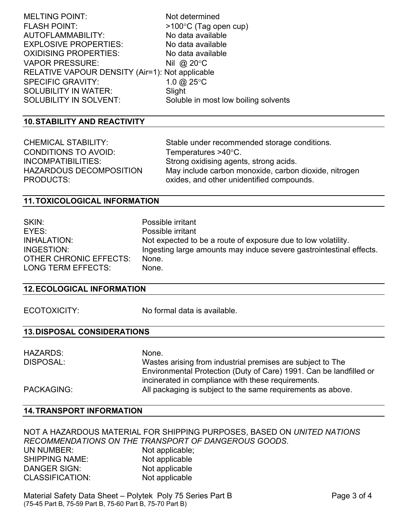| Not determined                                  |
|-------------------------------------------------|
| $>100^{\circ}$ C (Tag open cup)                 |
| No data available                               |
| No data available                               |
| No data available                               |
| Nil @ $20^{\circ}$ C                            |
| RELATIVE VAPOUR DENSITY (Air=1): Not applicable |
| 1.0 $@$ 25 °C                                   |
| Slight                                          |
| Soluble in most low boiling solvents            |
|                                                 |

#### **10. STABILITY AND REACTIVITY**

| <b>CHEMICAL STABILITY:</b> | Stable under recommended storage conditions.          |
|----------------------------|-------------------------------------------------------|
| CONDITIONS TO AVOID:       | Temperatures $>40^{\circ}$ C.                         |
| INCOMPATIBILITIES:         | Strong oxidising agents, strong acids.                |
| HAZARDOUS DECOMPOSITION    | May include carbon monoxide, carbon dioxide, nitrogen |
| PRODUCTS:                  | oxides, and other unidentified compounds.             |

#### **11. TOXICOLOGICAL INFORMATION**

| SKIN:                  | Possible irritant                                                   |
|------------------------|---------------------------------------------------------------------|
| EYES:                  | Possible irritant                                                   |
| INHALATION:            | Not expected to be a route of exposure due to low volatility.       |
| INGESTION:             | Ingesting large amounts may induce severe gastrointestinal effects. |
| OTHER CHRONIC EFFECTS: | None.                                                               |
| LONG TERM EFFECTS:     | None.                                                               |

#### **12. ECOLOGICAL INFORMATION**

ECOTOXICITY: No formal data is available.

# **13. DISPOSAL CONSIDERATIONS**

| <b>HAZARDS:</b> | None.                                                              |
|-----------------|--------------------------------------------------------------------|
| DISPOSAL:       | Wastes arising from industrial premises are subject to The         |
|                 | Environmental Protection (Duty of Care) 1991. Can be landfilled or |
|                 | incinerated in compliance with these requirements.                 |
| PACKAGING:      | All packaging is subject to the same requirements as above.        |

#### **14. TRANSPORT INFORMATION**

NOT A HAZARDOUS MATERIAL FOR SHIPPING PURPOSES, BASED ON *UNITED NATIONS RECOMMENDATIONS ON THE TRANSPORT OF DANGEROUS GOODS*. Not applicable; SHIPPING NAME: Not applicable DANGER SIGN: Not applicable CLASSIFICATION: Not applicable

Material Safety Data Sheet – Polytek Poly 75 Series Part B Page 3 of 4 (75-45 Part B, 75-59 Part B, 75-60 Part B, 75-70 Part B)